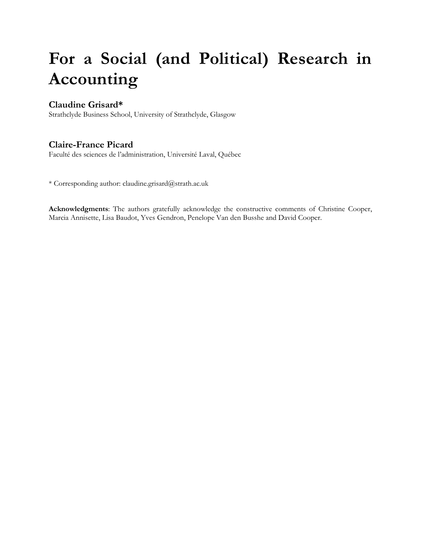# **For a Social (and Political) Research in Accounting**

## **Claudine Grisard\***

Strathclyde Business School, University of Strathclyde, Glasgow

# **Claire-France Picard**

Faculté des sciences de l'administration, Université Laval, Québec

\* Corresponding author: claudine.grisard@strath.ac.uk

**Acknowledgments**: The authors gratefully acknowledge the constructive comments of Christine Cooper, Marcia Annisette, Lisa Baudot, Yves Gendron, Penelope Van den Busshe and David Cooper.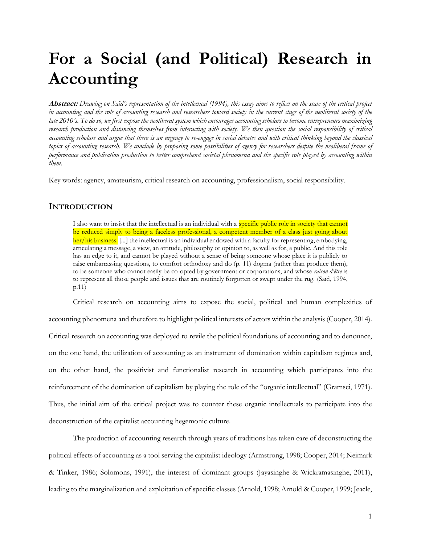# **For a Social (and Political) Research in Accounting**

**Abstract:** *Drawing on Saïd's representation of the intellectual (1994), this essay aims to reflect on the state of the critical project in accounting and the role of accounting research and researchers toward society in the current stage of the neoliberal society of the late 2010's. To do so, we first expose the neoliberal system which encourages accounting scholars to become entrepreneurs maximizing research production and distancing themselves from interacting with society. We then question the social responsibility of critical accounting scholars and argue that there is an urgency to re-engage in social debates and with critical thinking beyond the classical topics of accounting research. We conclude by proposing some possibilities of agency for researchers despite the neoliberal frame of performance and publication production to better comprehend societal phenomena and the specific role played by accounting within them.*

Key words: agency, amateurism, critical research on accounting, professionalism, social responsibility.

### **INTRODUCTION**

I also want to insist that the intellectual is an individual with a **specific public role in society that cannot** be reduced simply to being a faceless professional, a competent member of a class just going about her/his business. [...] the intellectual is an individual endowed with a faculty for representing, embodying, articulating a message, a view, an attitude, philosophy or opinion to, as well as for, a public. And this role has an edge to it, and cannot be played without a sense of being someone whose place it is publicly to raise embarrassing questions, to comfort orthodoxy and do (p. 11) dogma (rather than produce them), to be someone who cannot easily be co-opted by government or corporations, and whose *raison d'être* is to represent all those people and issues that are routinely forgotten or swept under the rug. (Saïd, 1994, p.11)

Critical research on accounting aims to expose the social, political and human complexities of accounting phenomena and therefore to highlight political interests of actors within the analysis (Cooper, 2014). Critical research on accounting was deployed to revile the political foundations of accounting and to denounce, on the one hand, the utilization of accounting as an instrument of domination within capitalism regimes and, on the other hand, the positivist and functionalist research in accounting which participates into the reinforcement of the domination of capitalism by playing the role of the "organic intellectual" (Gramsci, 1971). Thus, the initial aim of the critical project was to counter these organic intellectuals to participate into the deconstruction of the capitalist accounting hegemonic culture.

The production of accounting research through years of traditions has taken care of deconstructing the political effects of accounting as a tool serving the capitalist ideology (Armstrong, 1998; Cooper, 2014; Neimark & Tinker, 1986; Solomons, 1991), the interest of dominant groups (Jayasinghe & Wickramasinghe, 2011), leading to the marginalization and exploitation of specific classes (Arnold, 1998; Arnold & Cooper, 1999; Jeacle,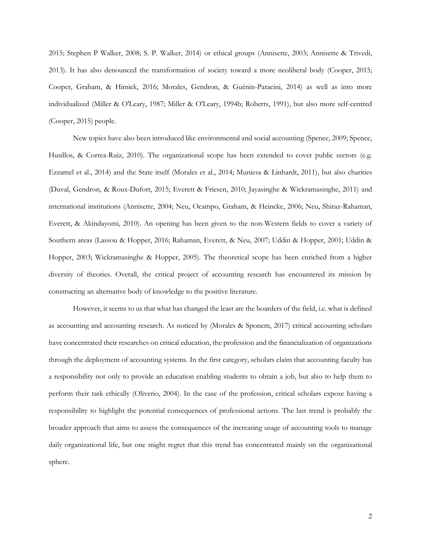2015; Stephen P Walker, 2008; S. P. Walker, 2014) or ethical groups (Annisette, 2003; Annisette & Trivedi, 2013). It has also denounced the transformation of society toward a more neoliberal body (Cooper, 2015; Cooper, Graham, & Himick, 2016; Morales, Gendron, & Guénin-Paracini, 2014) as well as into more individualized (Miller & O'Leary, 1987; Miller & O'Leary, 1994b; Roberts, 1991), but also more self-centred (Cooper, 2015) people.

New topics have also been introduced like environmental and social accounting (Spence, 2009; Spence, Husillos, & Correa-Ruiz, 2010). The organizational scope has been extended to cover public sectors (e.g. Ezzamel et al., 2014) and the State itself (Morales et al., 2014; Muniesa & Linhardt, 2011), but also charities (Duval, Gendron, & Roux-Dufort, 2015; Everett & Friesen, 2010; Jayasinghe & Wickramasinghe, 2011) and international institutions (Annisette, 2004; Neu, Ocampo, Graham, & Heincke, 2006; Neu, Shiraz-Rahaman, Everett, & Akindayomi, 2010). An opening has been given to the non-Western fields to cover a variety of Southern areas (Lassou & Hopper, 2016; Rahaman, Everett, & Neu, 2007; Uddin & Hopper, 2001; Uddin & Hopper, 2003; Wickramasinghe & Hopper, 2005). The theoretical scope has been enriched from a higher diversity of theories. Overall, the critical project of accounting research has encountered its mission by constructing an alternative body of knowledge to the positive literature.

However, it seems to us that what has changed the least are the boarders of the field, i.e. what is defined as accounting and accounting research. As noticed by (Morales & Sponem, 2017) critical accounting scholars have concentrated their researches on critical education, the profession and the financialization of organizations through the deployment of accounting systems. In the first category, scholars claim that accounting faculty has a responsibility not only to provide an education enabling students to obtain a job, but also to help them to perform their task ethically (Oliverio, 2004). In the case of the profession, critical scholars expose having a responsibility to highlight the potential consequences of professional actions. The last trend is probably the broader approach that aims to assess the consequences of the increasing usage of accounting tools to manage daily organizational life, but one might regret that this trend has concentrated mainly on the organizational sphere.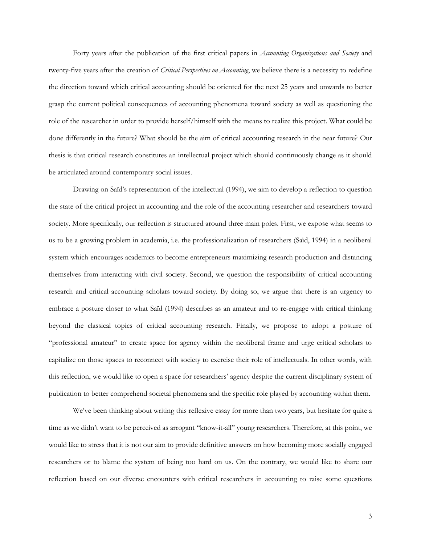Forty years after the publication of the first critical papers in *Accounting Organizations and Society* and twenty-five years after the creation of *Critical Perspectives on Accounting*, we believe there is a necessity to redefine the direction toward which critical accounting should be oriented for the next 25 years and onwards to better grasp the current political consequences of accounting phenomena toward society as well as questioning the role of the researcher in order to provide herself/himself with the means to realize this project. What could be done differently in the future? What should be the aim of critical accounting research in the near future? Our thesis is that critical research constitutes an intellectual project which should continuously change as it should be articulated around contemporary social issues.

Drawing on Saïd's representation of the intellectual (1994), we aim to develop a reflection to question the state of the critical project in accounting and the role of the accounting researcher and researchers toward society. More specifically, our reflection is structured around three main poles. First, we expose what seems to us to be a growing problem in academia, i.e. the professionalization of researchers (Saïd, 1994) in a neoliberal system which encourages academics to become entrepreneurs maximizing research production and distancing themselves from interacting with civil society. Second, we question the responsibility of critical accounting research and critical accounting scholars toward society. By doing so, we argue that there is an urgency to embrace a posture closer to what Saïd (1994) describes as an amateur and to re-engage with critical thinking beyond the classical topics of critical accounting research. Finally, we propose to adopt a posture of "professional amateur" to create space for agency within the neoliberal frame and urge critical scholars to capitalize on those spaces to reconnect with society to exercise their role of intellectuals. In other words, with this reflection, we would like to open a space for researchers' agency despite the current disciplinary system of publication to better comprehend societal phenomena and the specific role played by accounting within them.

We've been thinking about writing this reflexive essay for more than two years, but hesitate for quite a time as we didn't want to be perceived as arrogant "know-it-all" young researchers. Therefore, at this point, we would like to stress that it is not our aim to provide definitive answers on how becoming more socially engaged researchers or to blame the system of being too hard on us. On the contrary, we would like to share our reflection based on our diverse encounters with critical researchers in accounting to raise some questions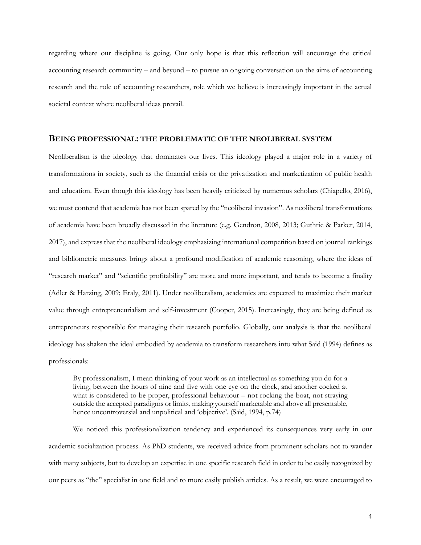regarding where our discipline is going. Our only hope is that this reflection will encourage the critical accounting research community – and beyond – to pursue an ongoing conversation on the aims of accounting research and the role of accounting researchers, role which we believe is increasingly important in the actual societal context where neoliberal ideas prevail.

#### **BEING PROFESSIONAL: THE PROBLEMATIC OF THE NEOLIBERAL SYSTEM**

Neoliberalism is the ideology that dominates our lives. This ideology played a major role in a variety of transformations in society, such as the financial crisis or the privatization and marketization of public health and education. Even though this ideology has been heavily criticized by numerous scholars (Chiapello, 2016), we must contend that academia has not been spared by the "neoliberal invasion". As neoliberal transformations of academia have been broadly discussed in the literature (e.g. Gendron, 2008, 2013; Guthrie & Parker, 2014, 2017), and express that the neoliberal ideology emphasizing international competition based on journal rankings and bibliometric measures brings about a profound modification of academic reasoning, where the ideas of "research market" and "scientific profitability" are more and more important, and tends to become a finality (Adler & Harzing, 2009; Eraly, 2011). Under neoliberalism, academics are expected to maximize their market value through entrepreneurialism and self-investment (Cooper, 2015). Increasingly, they are being defined as entrepreneurs responsible for managing their research portfolio. Globally, our analysis is that the neoliberal ideology has shaken the ideal embodied by academia to transform researchers into what Saïd (1994) defines as professionals:

By professionalism, I mean thinking of your work as an intellectual as something you do for a living, between the hours of nine and five with one eye on the clock, and another cocked at what is considered to be proper, professional behaviour – not rocking the boat, not straying outside the accepted paradigms or limits, making yourself marketable and above all presentable, hence uncontroversial and unpolitical and 'objective'. (Saïd, 1994, p.74)

We noticed this professionalization tendency and experienced its consequences very early in our academic socialization process. As PhD students, we received advice from prominent scholars not to wander with many subjects, but to develop an expertise in one specific research field in order to be easily recognized by our peers as "the" specialist in one field and to more easily publish articles. As a result, we were encouraged to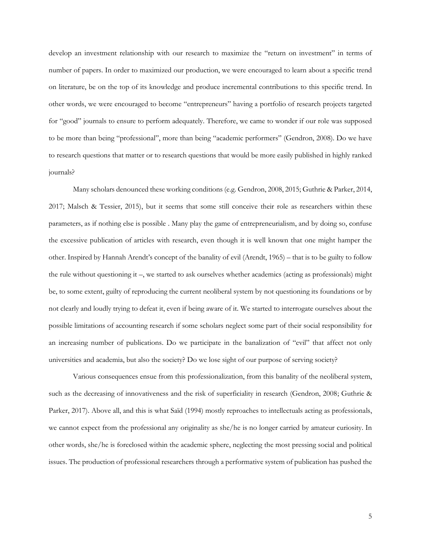develop an investment relationship with our research to maximize the "return on investment" in terms of number of papers. In order to maximized our production, we were encouraged to learn about a specific trend on literature, be on the top of its knowledge and produce incremental contributions to this specific trend. In other words, we were encouraged to become "entrepreneurs" having a portfolio of research projects targeted for "good" journals to ensure to perform adequately. Therefore, we came to wonder if our role was supposed to be more than being "professional", more than being "academic performers" (Gendron, 2008). Do we have to research questions that matter or to research questions that would be more easily published in highly ranked journals?

Many scholars denounced these working conditions (e.g. Gendron, 2008, 2015; Guthrie & Parker, 2014, 2017; Malsch & Tessier, 2015), but it seems that some still conceive their role as researchers within these parameters, as if nothing else is possible . Many play the game of entrepreneurialism, and by doing so, confuse the excessive publication of articles with research, even though it is well known that one might hamper the other. Inspired by Hannah Arendt's concept of the banality of evil (Arendt, 1965) – that is to be guilty to follow the rule without questioning it –, we started to ask ourselves whether academics (acting as professionals) might be, to some extent, guilty of reproducing the current neoliberal system by not questioning its foundations or by not clearly and loudly trying to defeat it, even if being aware of it. We started to interrogate ourselves about the possible limitations of accounting research if some scholars neglect some part of their social responsibility for an increasing number of publications. Do we participate in the banalization of "evil" that affect not only universities and academia, but also the society? Do we lose sight of our purpose of serving society?

Various consequences ensue from this professionalization, from this banality of the neoliberal system, such as the decreasing of innovativeness and the risk of superficiality in research (Gendron, 2008; Guthrie & Parker, 2017). Above all, and this is what Saïd (1994) mostly reproaches to intellectuals acting as professionals, we cannot expect from the professional any originality as she/he is no longer carried by amateur curiosity. In other words, she/he is foreclosed within the academic sphere, neglecting the most pressing social and political issues. The production of professional researchers through a performative system of publication has pushed the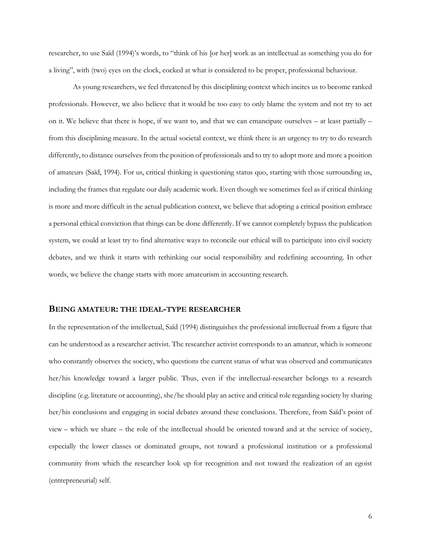researcher, to use Saïd (1994)'s words, to "think of his [or her] work as an intellectual as something you do for a living", with (two) eyes on the clock, cocked at what is considered to be proper, professional behaviour.

As young researchers, we feel threatened by this disciplining context which incites us to become ranked professionals. However, we also believe that it would be too easy to only blame the system and not try to act on it. We believe that there is hope, if we want to, and that we can emancipate ourselves – at least partially – from this disciplining measure. In the actual societal context, we think there is an urgency to try to do research differently, to distance ourselves from the position of professionals and to try to adopt more and more a position of amateurs (Saïd, 1994). For us, critical thinking is questioning status quo, starting with those surrounding us, including the frames that regulate our daily academic work. Even though we sometimes feel as if critical thinking is more and more difficult in the actual publication context, we believe that adopting a critical position embrace a personal ethical conviction that things can be done differently. If we cannot completely bypass the publication system, we could at least try to find alternative ways to reconcile our ethical will to participate into civil society debates, and we think it starts with rethinking our social responsibility and redefining accounting. In other words, we believe the change starts with more amateurism in accounting research.

#### **BEING AMATEUR: THE IDEAL-TYPE RESEARCHER**

In the representation of the intellectual, Saïd (1994) distinguishes the professional intellectual from a figure that can be understood as a researcher activist. The researcher activist corresponds to an amateur, which is someone who constantly observes the society, who questions the current status of what was observed and communicates her/his knowledge toward a larger public. Thus, even if the intellectual-researcher belongs to a research discipline (e.g. literature or accounting), she/he should play an active and critical role regarding society by sharing her/his conclusions and engaging in social debates around these conclusions. Therefore, from Saïd's point of view – which we share – the role of the intellectual should be oriented toward and at the service of society, especially the lower classes or dominated groups, not toward a professional institution or a professional community from which the researcher look up for recognition and not toward the realization of an egoist (entrepreneurial) self.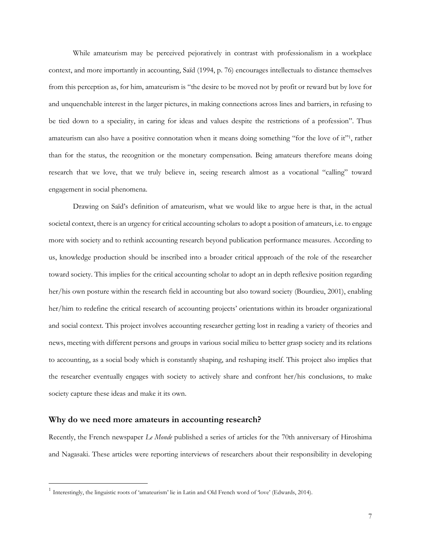While amateurism may be perceived pejoratively in contrast with professionalism in a workplace context, and more importantly in accounting, Saïd (1994, p. 76) encourages intellectuals to distance themselves from this perception as, for him, amateurism is "the desire to be moved not by profit or reward but by love for and unquenchable interest in the larger pictures, in making connections across lines and barriers, in refusing to be tied down to a speciality, in caring for ideas and values despite the restrictions of a profession". Thus amateurism can also have a positive connotation when it means doing something "for the love of it"<sup>1</sup>, rather than for the status, the recognition or the monetary compensation. Being amateurs therefore means doing research that we love, that we truly believe in, seeing research almost as a vocational "calling" toward engagement in social phenomena.

Drawing on Saïd's definition of amateurism, what we would like to argue here is that, in the actual societal context, there is an urgency for critical accounting scholars to adopt a position of amateurs, i.e. to engage more with society and to rethink accounting research beyond publication performance measures. According to us, knowledge production should be inscribed into a broader critical approach of the role of the researcher toward society. This implies for the critical accounting scholar to adopt an in depth reflexive position regarding her/his own posture within the research field in accounting but also toward society (Bourdieu, 2001), enabling her/him to redefine the critical research of accounting projects' orientations within its broader organizational and social context. This project involves accounting researcher getting lost in reading a variety of theories and news, meeting with different persons and groups in various social milieu to better grasp society and its relations to accounting, as a social body which is constantly shaping, and reshaping itself. This project also implies that the researcher eventually engages with society to actively share and confront her/his conclusions, to make society capture these ideas and make it its own.

#### **Why do we need more amateurs in accounting research?**

 $\overline{a}$ 

Recently, the French newspaper *Le Monde* published a series of articles for the 70th anniversary of Hiroshima and Nagasaki. These articles were reporting interviews of researchers about their responsibility in developing

<sup>&</sup>lt;sup>1</sup> Interestingly, the linguistic roots of 'amateurism' lie in Latin and Old French word of 'love' (Edwards, 2014).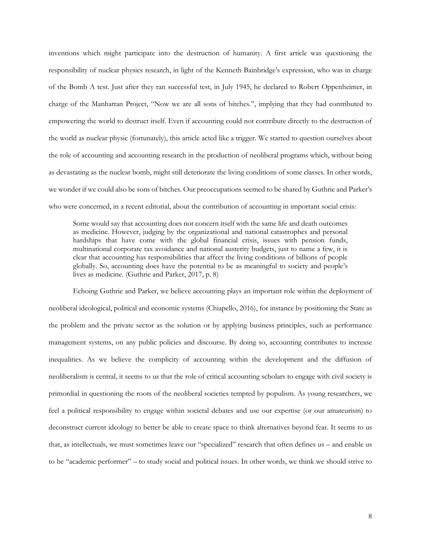inventions which might participate into the destruction of humanity. A first article was questioning the responsibility of nuclear physics research, in light of the Kenneth Bainbridge's expression, who was in charge of the Bomb A test. Just after they ran successful test, in July 1945, he declared to Robert Oppenheimer, in charge of the Manhattan Project, "Now we are all sons of bitches.", implying that they had contributed to empowering the world to destruct itself. Even if accounting could not contribute directly to the destruction of the world as nuclear physic (fortunately), this article acted like a trigger. We started to question ourselves about the role of accounting and accounting research in the production of neoliberal programs which, without being as devastating as the nuclear bomb, might still deteriorate the living conditions of some classes. In other words, we wonder if we could also be sons of bitches. Our preoccupations seemed to be shared by Guthrie and Parker's who were concerned, in a recent editorial, about the contribution of accounting in important social crisis:

Some would say that accounting does not concern itself with the same life and death outcomes as medicine. However, judging by the organizational and national catastrophes and personal hardships that have come with the global financial crisis, issues with pension funds, multinational corporate tax avoidance and national austerity budgets, just to name a few, it is clear that accounting has responsibilities that affect the living conditions of billions of people globally. So, accounting does have the potential to be as meaningful to society and people's lives as medicine. (Guthrie and Parker, 2017, p. 8)

Echoing Guthrie and Parker, we believe accounting plays an important role within the deployment of neoliberal ideological, political and economic systems (Chiapello, 2016), for instance by positioning the State as the problem and the private sector as the solution or by applying business principles, such as performance management systems, on any public policies and discourse. By doing so, accounting contributes to increase inequalities. As we believe the complicity of accounting within the development and the diffusion of neoliberalism is central, it seems to us that the role of critical accounting scholars to engage with civil society is primordial in questioning the roots of the neoliberal societies tempted by populism. As young researchers, we feel a political responsibility to engage within societal debates and use our expertise (or our amateurism) to deconstruct current ideology to better be able to create space to think alternatives beyond fear. It seems to us that, as intellectuals, we must sometimes leave our "specialized" research that often defines us – and enable us to be "academic performer" – to study social and political issues. In other words, we think we should strive to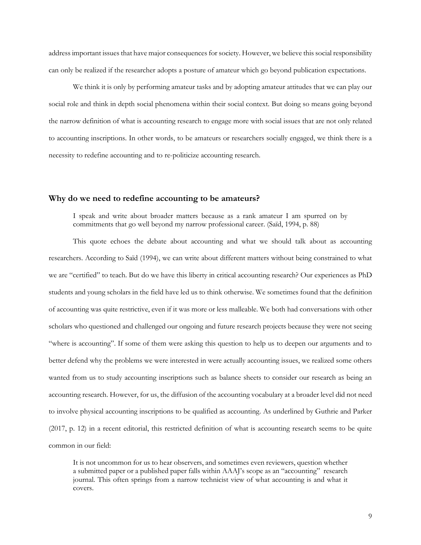address important issues that have major consequences for society. However, we believe this social responsibility can only be realized if the researcher adopts a posture of amateur which go beyond publication expectations.

We think it is only by performing amateur tasks and by adopting amateur attitudes that we can play our social role and think in depth social phenomena within their social context. But doing so means going beyond the narrow definition of what is accounting research to engage more with social issues that are not only related to accounting inscriptions. In other words, to be amateurs or researchers socially engaged, we think there is a necessity to redefine accounting and to re-politicize accounting research.

#### **Why do we need to redefine accounting to be amateurs?**

I speak and write about broader matters because as a rank amateur I am spurred on by commitments that go well beyond my narrow professional career. (Saïd, 1994, p. 88)

This quote echoes the debate about accounting and what we should talk about as accounting researchers. According to Saïd (1994), we can write about different matters without being constrained to what we are "certified" to teach. But do we have this liberty in critical accounting research? Our experiences as PhD students and young scholars in the field have led us to think otherwise. We sometimes found that the definition of accounting was quite restrictive, even if it was more or less malleable. We both had conversations with other scholars who questioned and challenged our ongoing and future research projects because they were not seeing "where is accounting". If some of them were asking this question to help us to deepen our arguments and to better defend why the problems we were interested in were actually accounting issues, we realized some others wanted from us to study accounting inscriptions such as balance sheets to consider our research as being an accounting research. However, for us, the diffusion of the accounting vocabulary at a broader level did not need to involve physical accounting inscriptions to be qualified as accounting. As underlined by Guthrie and Parker (2017, p. 12) in a recent editorial, this restricted definition of what is accounting research seems to be quite common in our field:

It is not uncommon for us to hear observers, and sometimes even reviewers, question whether a submitted paper or a published paper falls within AAAJ's scope as an "accounting" research journal. This often springs from a narrow technicist view of what accounting is and what it covers.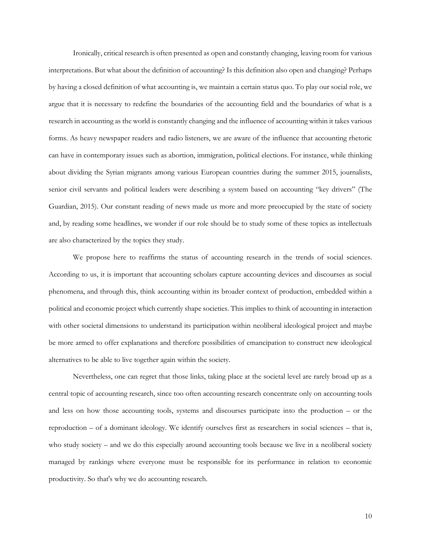Ironically, critical research is often presented as open and constantly changing, leaving room for various interpretations. But what about the definition of accounting? Is this definition also open and changing? Perhaps by having a closed definition of what accounting is, we maintain a certain status quo. To play our social role, we argue that it is necessary to redefine the boundaries of the accounting field and the boundaries of what is a research in accounting as the world is constantly changing and the influence of accounting within it takes various forms. As heavy newspaper readers and radio listeners, we are aware of the influence that accounting rhetoric can have in contemporary issues such as abortion, immigration, political elections. For instance, while thinking about dividing the Syrian migrants among various European countries during the summer 2015, journalists, senior civil servants and political leaders were describing a system based on accounting "key drivers" (The Guardian, 2015). Our constant reading of news made us more and more preoccupied by the state of society and, by reading some headlines, we wonder if our role should be to study some of these topics as intellectuals are also characterized by the topics they study.

We propose here to reaffirms the status of accounting research in the trends of social sciences. According to us, it is important that accounting scholars capture accounting devices and discourses as social phenomena, and through this, think accounting within its broader context of production, embedded within a political and economic project which currently shape societies. This implies to think of accounting in interaction with other societal dimensions to understand its participation within neoliberal ideological project and maybe be more armed to offer explanations and therefore possibilities of emancipation to construct new ideological alternatives to be able to live together again within the society.

Nevertheless, one can regret that those links, taking place at the societal level are rarely broad up as a central topic of accounting research, since too often accounting research concentrate only on accounting tools and less on how those accounting tools, systems and discourses participate into the production – or the reproduction – of a dominant ideology. We identify ourselves first as researchers in social sciences – that is, who study society – and we do this especially around accounting tools because we live in a neoliberal society managed by rankings where everyone must be responsible for its performance in relation to economic productivity. So that's why we do accounting research.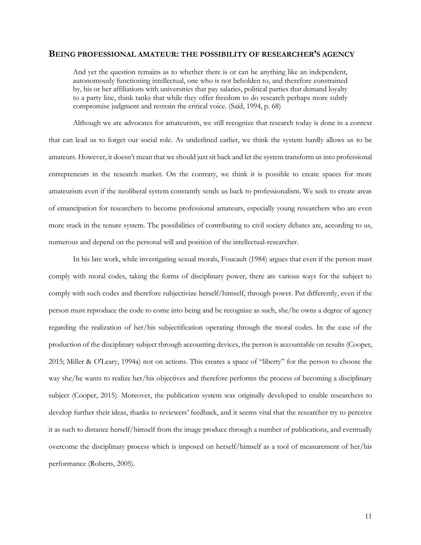#### **BEING PROFESSIONAL AMATEUR: THE POSSIBILITY OF RESEARCHER'S AGENCY**

And yet the question remains as to whether there is or can be anything like an independent, autonomously functioning intellectual, one who is not beholden to, and therefore constrained by, his or her affiliations with universities that pay salaries, political parties that demand loyalty to a party line, think tanks that while they offer freedom to do research perhaps more subtly compromise judgment and restrain the critical voice. (Saïd, 1994, p. 68)

Although we are advocates for amateurism, we still recognize that research today is done in a context that can lead us to forget our social role. As underlined earlier, we think the system hardly allows us to be amateurs. However, it doesn't mean that we should just sit back and let the system transform us into professional entrepreneurs in the research market. On the contrary, we think it is possible to create spaces for more amateurism even if the neoliberal system constantly sends us back to professionalism. We seek to create areas of emancipation for researchers to become professional amateurs, especially young researchers who are even more stuck in the tenure system. The possibilities of contributing to civil society debates are, according to us, numerous and depend on the personal will and position of the intellectual-researcher.

In his late work, while investigating sexual morals, Foucault (1984) argues that even if the person must comply with moral codes, taking the forms of disciplinary power, there are various ways for the subject to comply with such codes and therefore subjectivize herself/himself, through power. Put differently, even if the person must reproduce the code to come into being and be recognize as such, she/he owns a degree of agency regarding the realization of her/his subjectification operating through the moral codes. In the case of the production of the disciplinary subject through accounting devices, the person is accountable on results (Cooper, 2015; Miller & O'Leary, 1994a) not on actions. This creates a space of "liberty" for the person to choose the way she/he wants to realize her/his objectives and therefore performs the process of becoming a disciplinary subject (Cooper, 2015). Moreover, the publication system was originally developed to enable researchers to develop further their ideas, thanks to reviewers' feedback, and it seems vital that the researcher try to perceive it as such to distance herself/himself from the image produce through a number of publications, and eventually overcome the disciplinary process which is imposed on herself/himself as a tool of measurement of her/his performance (Roberts, 2005).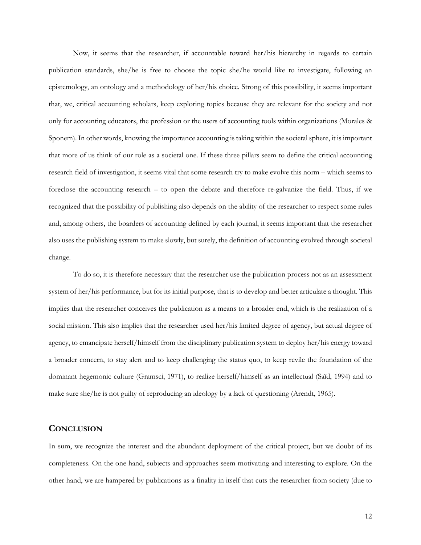Now, it seems that the researcher, if accountable toward her/his hierarchy in regards to certain publication standards, she/he is free to choose the topic she/he would like to investigate, following an epistemology, an ontology and a methodology of her/his choice. Strong of this possibility, it seems important that, we, critical accounting scholars, keep exploring topics because they are relevant for the society and not only for accounting educators, the profession or the users of accounting tools within organizations (Morales & Sponem). In other words, knowing the importance accounting is taking within the societal sphere, it is important that more of us think of our role as a societal one. If these three pillars seem to define the critical accounting research field of investigation, it seems vital that some research try to make evolve this norm – which seems to foreclose the accounting research – to open the debate and therefore re-galvanize the field. Thus, if we recognized that the possibility of publishing also depends on the ability of the researcher to respect some rules and, among others, the boarders of accounting defined by each journal, it seems important that the researcher also uses the publishing system to make slowly, but surely, the definition of accounting evolved through societal change.

To do so, it is therefore necessary that the researcher use the publication process not as an assessment system of her/his performance, but for its initial purpose, that is to develop and better articulate a thought. This implies that the researcher conceives the publication as a means to a broader end, which is the realization of a social mission. This also implies that the researcher used her/his limited degree of agency, but actual degree of agency, to emancipate herself/himself from the disciplinary publication system to deploy her/his energy toward a broader concern, to stay alert and to keep challenging the status quo, to keep revile the foundation of the dominant hegemonic culture (Gramsci, 1971), to realize herself/himself as an intellectual (Saïd, 1994) and to make sure she/he is not guilty of reproducing an ideology by a lack of questioning (Arendt, 1965).

## **CONCLUSION**

In sum, we recognize the interest and the abundant deployment of the critical project, but we doubt of its completeness. On the one hand, subjects and approaches seem motivating and interesting to explore. On the other hand, we are hampered by publications as a finality in itself that cuts the researcher from society (due to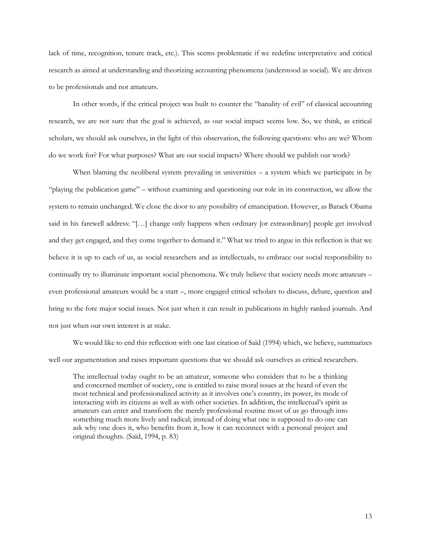lack of time, recognition, tenure track, etc.). This seems problematic if we redefine interpretative and critical research as aimed at understanding and theorizing accounting phenomena (understood as social). We are driven to be professionals and not amateurs.

In other words, if the critical project was built to counter the "banality of evil" of classical accounting research, we are not sure that the goal is achieved, as our social impact seems low. So, we think, as critical scholars, we should ask ourselves, in the light of this observation, the following questions: who are we? Whom do we work for? For what purposes? What are our social impacts? Where should we publish our work?

When blaming the neoliberal system prevailing in universities  $-$  a system which we participate in by "playing the publication game" – without examining and questioning our role in its construction, we allow the system to remain unchanged. We close the door to any possibility of emancipation. However, as Barack Obama said in his farewell address: "[…] change only happens when ordinary [or extraordinary] people get involved and they get engaged, and they come together to demand it." What we tried to argue in this reflection is that we believe it is up to each of us, as social researchers and as intellectuals, to embrace our social responsibility to continually try to illuminate important social phenomena. We truly believe that society needs more amateurs – even professional amateurs would be a start –, more engaged critical scholars to discuss, debate, question and bring to the fore major social issues. Not just when it can result in publications in highly ranked journals. And not just when our own interest is at stake.

We would like to end this reflection with one last citation of Saïd (1994) which, we believe, summarizes well our argumentation and raises important questions that we should ask ourselves as critical researchers.

The intellectual today ought to be an amateur, someone who considers that to be a thinking and concerned member of society, one is entitled to raise moral issues at the heard of even the most technical and professionalized activity as it involves one's country, its power, its mode of interacting with its citizens as well as with other societies. In addition, the intellectual's spirit as amateurs can enter and transform the merely professional routine most of us go through into something much more lively and radical; instead of doing what one is supposed to do one can ask why one does it, who benefits from it, how it can reconnect with a personal project and original thoughts. (Saïd, 1994, p. 83)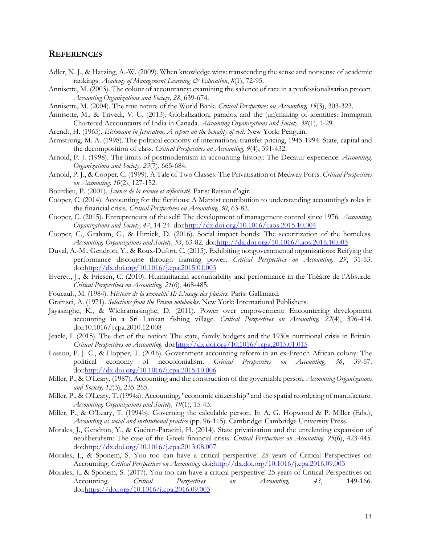### **REFERENCES**

- Adler, N. J., & Harzing, A.-W. (2009). When knowledge wins: transcending the sense and nonsense of academic rankings. *Academy of Management Learning & Education*, *8*(1), 72-95.
- Annisette, M. (2003). The colour of accountancy: examining the salience of race in a professionalisation project. *Accounting Organizations and Society, 28*, 639-674.
- Annisette, M. (2004). The true nature of the World Bank. *Critical Perspectives on Accounting, 15*(3), 303-323.
- Annisette, M., & Trivedi, V. U. (2013). Globalization, paradox and the (un)making of identities: Immigrant Chartered Accountants of India in Canada. *Accounting Organizations and Society, 38*(1), 1-29.
- Arendt, H. (1965). *Eichmann in Jerusalem, A report on the benality of evil*. New York: Penguin.
- Armstrong, M. A. (1998). The political economy of international transfer pricing, 1945-1994: State, capital and the decomposition of class. *Critical Perspectives on Accounting, 9*(4), 391-432.
- Arnold, P. J. (1998). The limits of postmodernism in accounting history: The Decatur experience. *Accounting, Organizations and Society, 23*(7), 665-684.
- Arnold, P. J., & Cooper, C. (1999). A Tale of Two Classes: The Privatisation of Medway Ports. *Critical Perspectives on Accounting, 10*(2), 127-152.
- Bourdieu, P. (2001). *Science de la science et réflexivité*. Paris: Raison d'agir.
- Cooper, C. (2014). Accounting for the fictitious: A Marxist contribution to understanding accounting's roles in the financial crisis. *Critical Perspectives on Accounting, 30*, 63-82.
- Cooper, C. (2015). Entrepreneurs of the self: The development of management control since 1976. *Accounting, Organizations and Society, 47*, 14-24. do[i:http://dx.doi.org/10.1016/j.aos.2015.10.004](http://dx.doi.org/10.1016/j.aos.2015.10.004)
- Cooper, C., Graham, C., & Himick, D. (2016). Social impact bonds: The securitization of the homeless. *Accounting, Organizations and Society, 55*, 63-82. doi[:http://dx.doi.org/10.1016/j.aos.2016.10.003](http://dx.doi.org/10.1016/j.aos.2016.10.003)
- Duval, A.-M., Gendron, Y., & Roux-Dufort, C. (2015). Exhibiting nongovernmental organizations: Reifying the performance discourse through framing power. *Critical Perspectives on Accounting, 29*, 31-53. doi[:http://dx.doi.org/10.1016/j.cpa.2015.01.003](http://dx.doi.org/10.1016/j.cpa.2015.01.003)
- Everett, J., & Friesen, C. (2010). Humanitarian accountability and performance in the Théâtre de l'Absurde. *Critical Perspectives on Accounting, 21*(6), 468-485.
- Foucault, M. (1984). *Histoire de la sexualité II: L'usage des plaisirs*. Paris: Gallimard.
- Gramsci, A. (1971). *Selections from the Prison notebooks*. New York: International Publishers.
- Jayasinghe, K., & Wickramasinghe, D. (2011). Power over empowerment: Encountering development accounting in a Sri Lankan fishing village. *Critical Perspectives on Accounting, 22*(4), 396-414. doi:10.1016/j.cpa.2010.12.008
- Jeacle, I. (2015). The diet of the nation: The state, family budgets and the 1930s nutritional crisis in Britain. *Critical Perspectives on Accounting*. do[i:http://dx.doi.org/10.1016/j.cpa.2015.01.015](http://dx.doi.org/10.1016/j.cpa.2015.01.015)
- Lassou, P. J. C., & Hopper, T. (2016). Government accounting reform in an ex-French African colony: The political economy of neocolonialism. *Critical Perspectives on Accounting, 36*, 39-57. doi[:http://dx.doi.org/10.1016/j.cpa.2015.10.006](http://dx.doi.org/10.1016/j.cpa.2015.10.006)
- Miller, P., & O'Leary. (1987). Accounting and the construction of the governable person. *Accounting Organizations and Society, 12*(3), 235-265.
- Miller, P., & O'Leary, T. (1994a). Accounting, "economic citizenship" and the spatial reordering of manufacture. *Accounting, Organizations and Society, 19*(1), 15-43.
- Miller, P., & O'Leary, T. (1994b). Governing the calculable person. In A. G. Hopwood & P. Miller (Eds.), *Accounting as social and institutional practice* (pp. 96-115). Cambridge: Cambridge University Press.
- Morales, J., Gendron, Y., & Guénin-Paracini, H. (2014). State privatization and the unrelenting expansion of neoliberalism: The case of the Greek financial crisis. *Critical Perspectives on Accounting, 25*(6), 423-445. doi[:http://dx.doi.org/10.1016/j.cpa.2013.08.007](http://dx.doi.org/10.1016/j.cpa.2013.08.007)
- Morales, J., & Sponem, S. You too can have a critical perspective! 25 years of Critical Perspectives on Accounting. *Critical Perspectives on Accounting*. doi[:http://dx.doi.org/10.1016/j.cpa.2016.09.003](http://dx.doi.org/10.1016/j.cpa.2016.09.003)
- Morales, J., & Sponem, S. (2017). You too can have a critical perspective! 25 years of Critical Perspectives on Accounting. *Critical Perspectives on Accounting, 43*, 149-166. doi[:https://doi.org/10.1016/j.cpa.2016.09.003](https://doi.org/10.1016/j.cpa.2016.09.003)